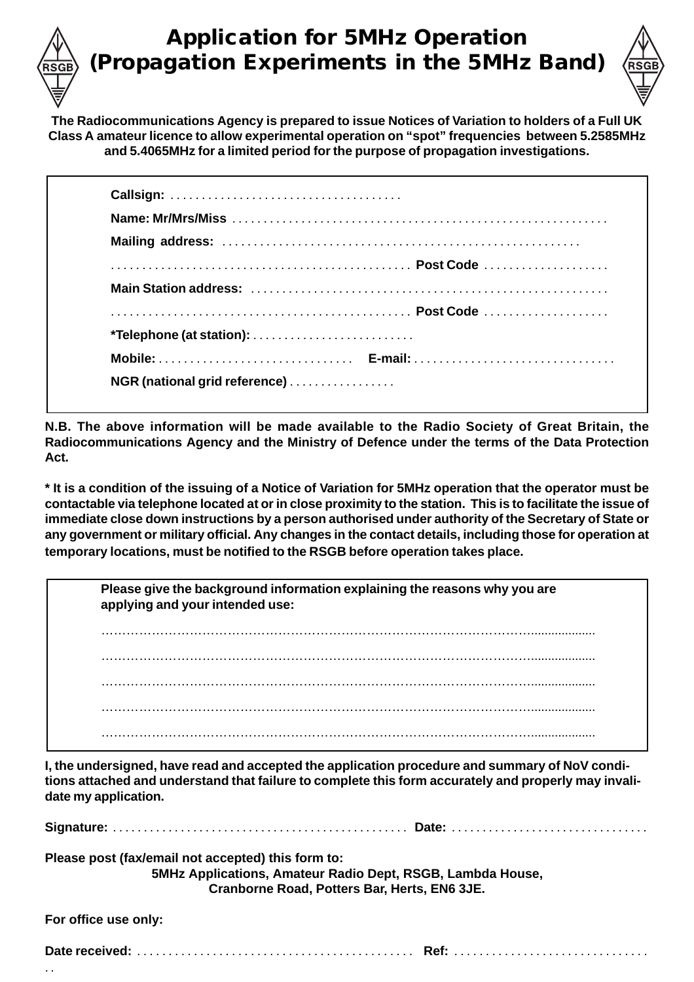## **Application for 5MHz Operation (Propagation Experiments in the 5MHz Band)**



**The Radiocommunications Agency is prepared to issue Notices of Variation to holders of a Full UK Class A amateur licence to allow experimental operation on "spot" frequencies between 5.2585MHz and 5.4065MHz for a limited period for the purpose of propagation investigations.**

**N.B. The above information will be made available to the Radio Society of Great Britain, the Radiocommunications Agency and the Ministry of Defence under the terms of the Data Protection Act.**

**\* It is a condition of the issuing of a Notice of Variation for 5MHz operation that the operator must be contactable via telephone located at or in close proximity to the station. This is to facilitate the issue of immediate close down instructions by a person authorised under authority of the Secretary of State or any government or military official. Any changes in the contact details, including those for operation at temporary locations, must be notified to the RSGB before operation takes place.**

| Please give the background information explaining the reasons why you are<br>applying and your intended use: |  |  |  |  |
|--------------------------------------------------------------------------------------------------------------|--|--|--|--|
|                                                                                                              |  |  |  |  |
|                                                                                                              |  |  |  |  |
|                                                                                                              |  |  |  |  |
|                                                                                                              |  |  |  |  |
| .                                                                                                            |  |  |  |  |

**I, the undersigned, have read and accepted the application procedure and summary of NoV conditions attached and understand that failure to complete this form accurately and properly may invalidate my application.**

| Please post (fax/email not accepted) this form to: | 5MHz Applications, Amateur Radio Dept, RSGB, Lambda House,<br>Cranborne Road, Potters Bar, Herts, EN6 3JE. |
|----------------------------------------------------|------------------------------------------------------------------------------------------------------------|
| For office use only:                               |                                                                                                            |
|                                                    |                                                                                                            |

. .